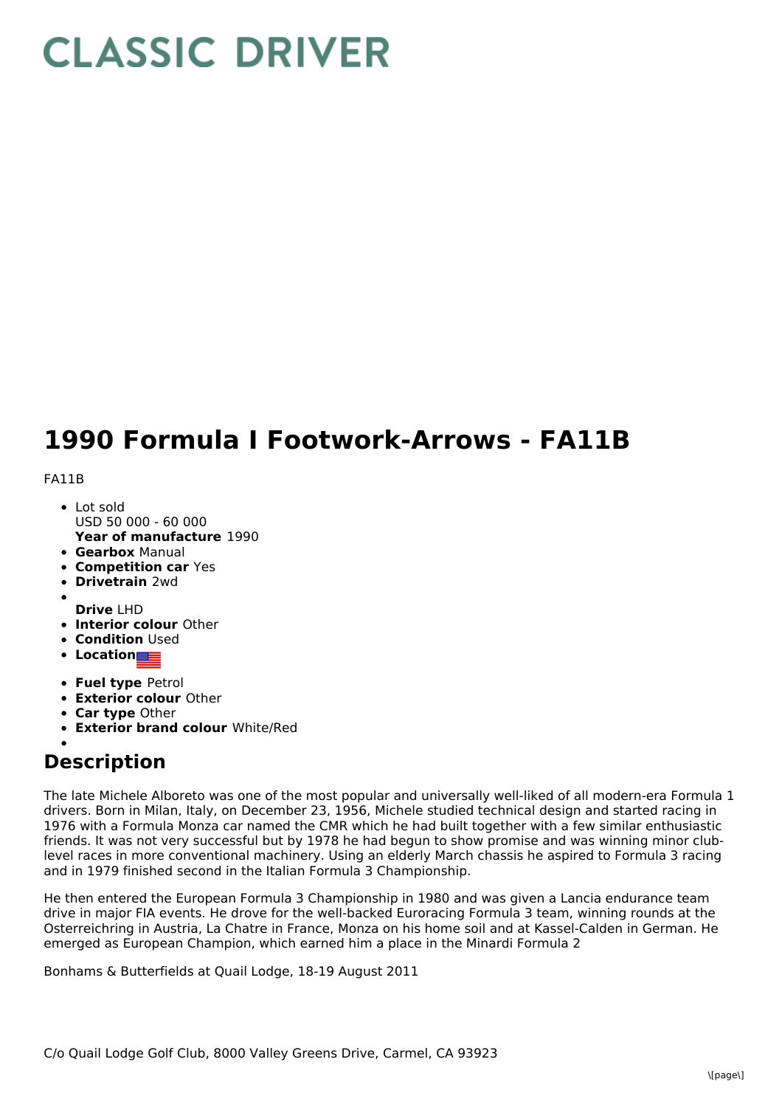## **CLASSIC DRIVER**

## **1990 Formula I Footwork-Arrows - FA11B**

FA11B

- **Year of manufacture** 1990 Lot sold USD 50 000 - 60 000
- **Gearbox** Manual
- **Competition car** Yes
- **Drivetrain** 2wd
- **Drive** LHD
- **Interior colour** Other
- **Condition Used**
- **Location**
- **Fuel type** Petrol
- **Exterior colour** Other
- **Car type** Other
- **Exterior brand colour** White/Red

## **Description**

The late Michele Alboreto was one of the most popular and universally well-liked of all modern-era Formula 1 drivers. Born in Milan, Italy, on December 23, 1956, Michele studied technical design and started racing in 1976 with a Formula Monza car named the CMR which he had built together with a few similar enthusiastic friends. It was not very successful but by 1978 he had begun to show promise and was winning minor clublevel races in more conventional machinery. Using an elderly March chassis he aspired to Formula 3 racing and in 1979 finished second in the Italian Formula 3 Championship.

He then entered the European Formula 3 Championship in 1980 and was given a Lancia endurance team drive in major FIA events. He drove for the well-backed Euroracing Formula 3 team, winning rounds at the Osterreichring in Austria, La Chatre in France, Monza on his home soil and at Kassel-Calden in German. He emerged as European Champion, which earned him a place in the Minardi Formula 2

Bonhams & Butterfields at Quail Lodge, 18-19 August 2011